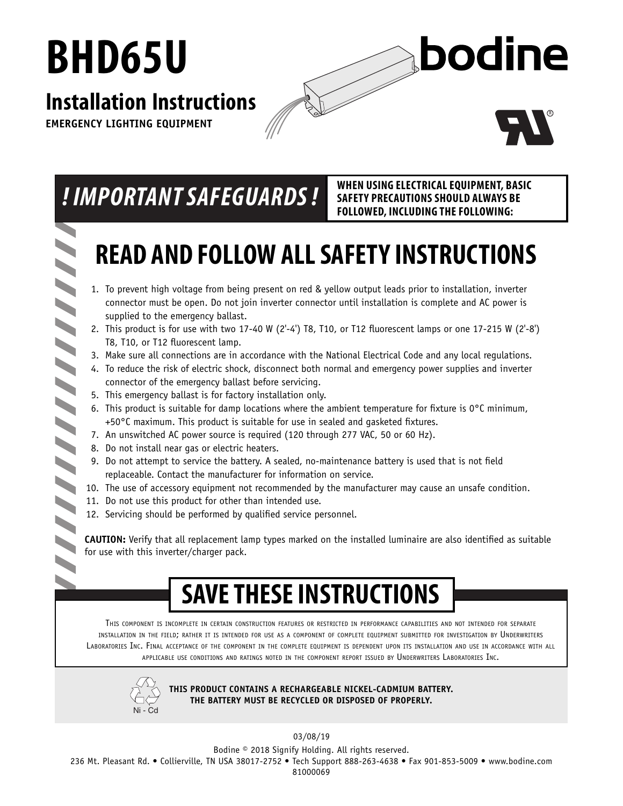# **BHD65U**

### **Installation Instructions**

**EMERGENCY LIGHTING EQUIPMENT**

111111

11111.

 $\blacktriangleright$ 

bodine

## *! IMPORTANT SAFEGUARDS !* **WHEN USING ELECTRICAL EQUIPMENT, BASIC**

#### **SAFETY PRECAUTIONS SHOULD ALWAYS BE FOLLOWED, INCLUDING THE FOLLOWING:**

## **READ AND FOLLOW ALL SAFETY INSTRUCTIONS**

- 1. To prevent high voltage from being present on red & yellow output leads prior to installation, inverter connector must be open. Do not join inverter connector until installation is complete and AC power is supplied to the emergency ballast.
- 2. This product is for use with two 17-40 W (2'-4') T8, T10, or T12 fluorescent lamps or one 17-215 W (2'-8') T8, T10, or T12 fluorescent lamp.
- 3. Make sure all connections are in accordance with the National Electrical Code and any local regulations.
- 4. To reduce the risk of electric shock, disconnect both normal and emergency power supplies and inverter connector of the emergency ballast before servicing.
- 5. This emergency ballast is for factory installation only.
- 6. This product is suitable for damp locations where the ambient temperature for fixture is 0°C minimum, +50°C maximum. This product is suitable for use in sealed and gasketed fixtures.
- 7. An unswitched AC power source is required (120 through 277 VAC, 50 or 60 Hz).
- 8. Do not install near gas or electric heaters.
- 9. Do not attempt to service the battery. A sealed, no-maintenance battery is used that is not field replaceable. Contact the manufacturer for information on service.
- $\sum_{i=1}^{n}$ 10. The use of accessory equipment not recommended by the manufacturer may cause an unsafe condition.
	- 11. Do not use this product for other than intended use.
	- 12. Servicing should be performed by qualified service personnel.

**CAUTION:** Verify that all replacement lamp types marked on the installed luminaire are also identified as suitable for use with this inverter/charger pack.

### **SAVE THESE INSTRUCTIONS**

 This component is incomplete in certain construction features or restricted in performance capabilities and not intended for separate installation in the field; rather it is intended for use as a component of complete equipment submitted for investigation by Underwriters LABORATORIES INC. FINAL ACCEPTANCE OF THE COMPONENT IN THE COMPLETE EQUIPMENT IS DEPENDENT UPON ITS INSTALLATION AND USE IN ACCORDANCE WITH ALL applicable use conditions and ratings noted in the component report issued by Underwriters Laboratories Inc.



#### **THIS PRODUCT CONTAINS A RECHARGEABLE NICKEL-CADMIUM BATTERY. THE BATTERY MUST BE RECYCLED OR DISPOSED OF PROPERLY.**

03/08/19

Bodine © 2018 Signify Holding. All rights reserved.

236 Mt. Pleasant Rd. • Collierville, TN USA 38017-2752 • Tech Support 888-263-4638 • Fax 901-853-5009 • www.bodine.com

81000069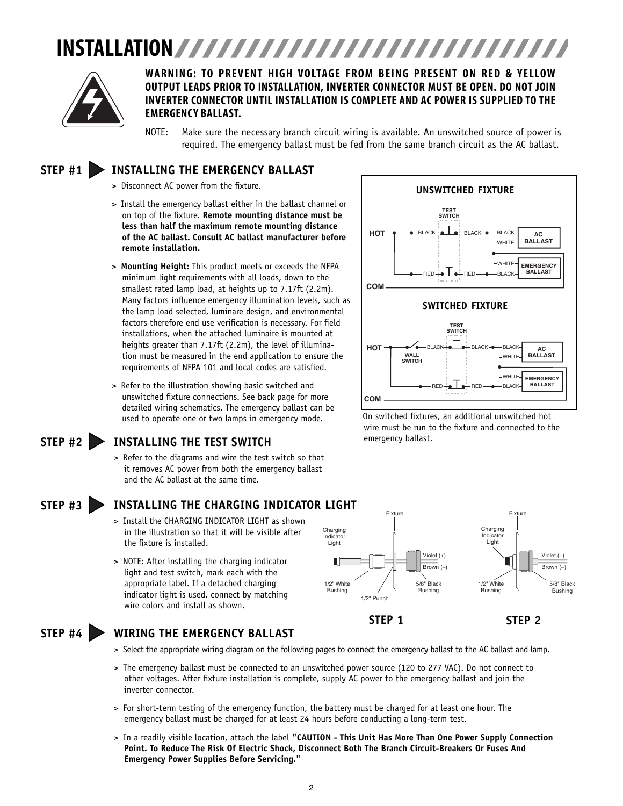### **INSTALLATION**



#### **WARNING: TO PREVENT HIGH VOLTAGE FROM BEING PRESENT ON RED & YELLOW OUTPUT LEADS PRIOR TO INSTALLATION, INVERTER CONNECTOR MUST BE OPEN. DO NOT JOIN INVERTER CONNECTOR UNTIL INSTALLATION IS COMPLETE AND AC POWER IS SUPPLIED TO THE EMERGENCY BALLAST.**

NOTE: Make sure the necessary branch circuit wiring is available. An unswitched source of power is required. The emergency ballast must be fed from the same branch circuit as the AC ballast.

**COM**

#### **STEP #1 INSTALLING THE EMERGENCY BALLAST**

- > Disconnect AC power from the fixture.
- > Install the emergency ballast either in the ballast channel or on top of the fixture. **Remote mounting distance must be less than half the maximum remote mounting distance of the AC ballast. Consult AC ballast manufacturer before remote installation.**
- > **Mounting Height:** This product meets or exceeds the NFPA minimum light requirements with all loads, down to the smallest rated lamp load, at heights up to 7.17ft (2.2m). Many factors influence emergency illumination levels, such as the lamp load selected, luminare design, and environmental factors therefore end use verification is necessary. For field installations, when the attached luminaire is mounted at heights greater than 7.17ft (2.2m), the level of illumination must be measured in the end application to ensure the requirements of NFPA 101 and local codes are satisfied.
- > Refer to the illustration showing basic switched and unswitched fixture connections. See back page for more detailed wiring schematics. The emergency ballast can be used to operate one or two lamps in emergency mode.

#### **STEP #2 INSTALLING THE TEST SWITCH**

> Refer to the diagrams and wire the test switch so that it removes AC power from both the emergency ballast and the AC ballast at the same time.

#### **STEP #3 INSTALLING THE CHARGING INDICATOR LIGHT**

- > Install the CHARGING INDICATOR LIGHT as shown in the illustration so that it will be visible after the fixture is installed.
- > NOTE: After installing the charging indicator light and test switch, mark each with the appropriate label. If a detached charging indicator light is used, connect by matching wire colors and install as shown.



**UNSWITCHED FIXTURE**

**HOT AC**

**TEST SWITCH**

BLACK

RED

 $-BI$  ACK $-$ 

RED

 $-BLAC$ WHITE

**BALLAST**

**EMERGENCY BALLAST**

BLACK WHITE



#### **STEP #4 WIRING THE EMERGENCY BALLAST**

- > Select the appropriate wiring diagram on the following pages to connect the emergency ballast to the AC ballast and lamp.
- > The emergency ballast must be connected to an unswitched power source (120 to 277 VAC). Do not connect to other voltages. After fixture installation is complete, supply AC power to the emergency ballast and join the inverter connector.
- > For short-term testing of the emergency function, the battery must be charged for at least one hour. The emergency ballast must be charged for at least 24 hours before conducting a long-term test.
- > In a readily visible location, attach the label **"CAUTION This Unit Has More Than One Power Supply Connection Point. To Reduce The Risk Of Electric Shock, Disconnect Both The Branch Circuit-Breakers Or Fuses And Emergency Power Supplies Before Servicing."**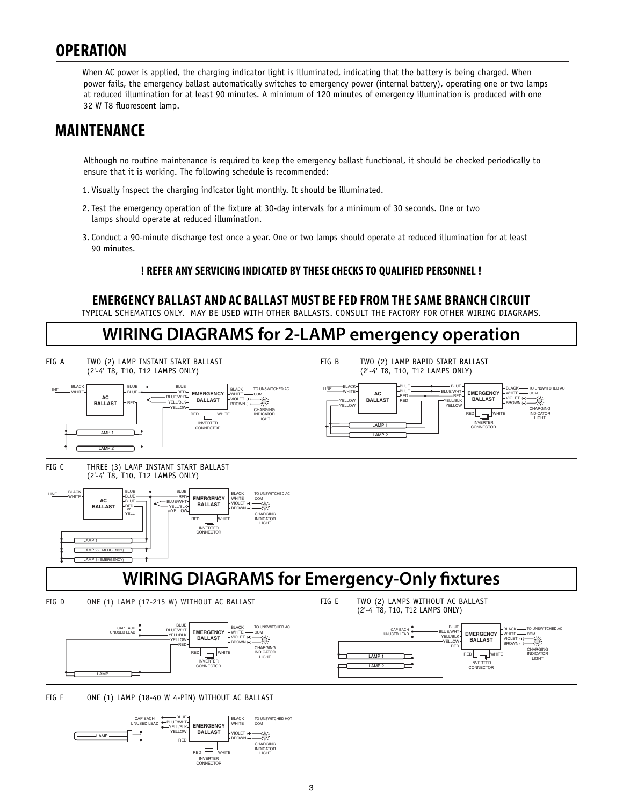#### **OPERATION**

When AC power is applied, the charging indicator light is illuminated, indicating that the battery is being charged. When power fails, the emergency ballast automatically switches to emergency power (internal battery), operating one or two lamps at reduced illumination for at least 90 minutes. A minimum of 120 minutes of emergency illumination is produced with one 32 W T8 fluorescent lamp.

#### **MAINTENANCE**

 Although no routine maintenance is required to keep the emergency ballast functional, it should be checked periodically to ensure that it is working. The following schedule is recommended:

- 1. Visually inspect the charging indicator light monthly. It should be illuminated.
- 2. Test the emergency operation of the fixture at 30-day intervals for a minimum of 30 seconds. One or two lamps should operate at reduced illumination.
- 3. Conduct a 90-minute discharge test once a year. One or two lamps should operate at reduced illumination for at least 90 minutes.

#### **! REFER ANY SERVICING INDICATED BY THESE CHECKS TO QUALIFIED PERSONNEL !**

#### **EMERGENCY BALLAST AND AC BALLAST MUST BE FED FROM THE SAME BRANCH CIRCUIT**

TYPICAL SCHEMATICS ONLY. MAY BE USED WITH OTHER BALLASTS. CONSULT THE FACTORY FOR OTHER WIRING DIAGRAMS.

### **WIRING DIAGRAMS for 2-LAMP emergency operation**



FIG B TWO (2) LAMP RAPID START BALLAST (2'-4' T8, T10, T12 LAMPS ONLY)



FIG C THREE (3) LAMP INSTANT START BALLAST (2'-4' T8, T10, T12 LAMPS ONLY)

LAMP 1 LAMP 2

LAMP

CAP EACH UNUSED LEAD



FIG D ONE (1) LAMP (17-215 W) WITHOUT AC BALLAST FIG E TWO (2) LAMPS WITHOUT AC BALLAST (2'-4' T8, T10, T12 LAMPS ONLY)



FIG F ONE (1) LAMP (18-40 W 4-PIN) WITHOUT AC BALLAST



<del>-------</del>-BLUE<br>BLUE/WHT<br>-- YELL/BLK YELLOW RED

INVERTER CONNECTOR

**EMERGENCY BALLAST** RED WHITE

BLACK WHITE VIOLET BROWN

COM CHARGING INDICATOR LIGHT

HED AC

**WIRING DIAGRAMS for Emergency-Only fixtures**